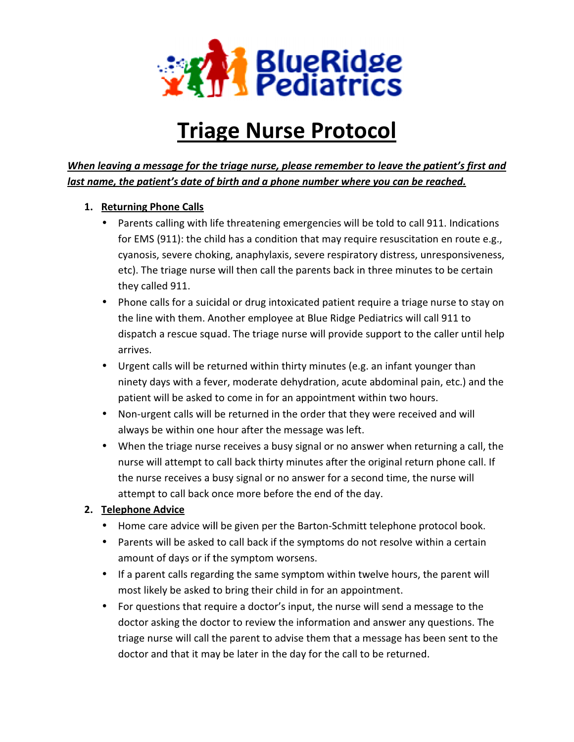

# Triage Nurse Protocol

# When leaving a message for the triage nurse, please remember to leave the patient's last name, the patient's date of birth and a phone number where you can be reached.

## 1. Returning Phone Calls

- Parents calling with life threatening emergencies will be told to call 911. Indications for EMS (911): the child has a condition that may require resuscitation en route e.g., cyanosis, severe choking, anaphylaxis, severe respiratory distress, unresponsiveness, they called 911. ents calling with life threatening emergencies will be told to call 911. Indications<br>EMS (911): the child has a condition that may require resuscitation en route e.g.,<br>nosis, severe choking, anaphylaxis, severe respiratory the antiescare for the trienge nurse, please remember to leave the patient's first and<br>the patient's date of birth and a phone number where you can be reached.<br>Using Phone Calls<br>Parents caling with life threatening emergen
- etc). The triage nurse will then call the parents back in three minutes to be certain<br>they called 911.<br>Phone calls for a suicidal or drug intoxicated patient require a triage nurse to stay c<br>the line with them. Another emp • Phone calls for a suicidal or drug intoxicated patient require a triage nurse to stay on the line with them. Another employee at Blue Ridge Pediatrics will call 91 dispatch a rescue squad. The triage nurse will provide support to the caller until help arrives.
- Urgent calls will be returned within thirty minutes (e.g. an infant younger than ninety days with a fever, moderate dehydration, acute abdominal pain, etc.) and the patient will be asked to come in for an appointment within two hours.
- Non-urgent calls will be returned in the order that they were received and will always be within one hour after the message was left.
- always be within one hour after the message was left.<br>• When the triage nurse receives a busy signal or no answer when returning a call, the nurse will attempt to call back thirty minutes after the original return phone call. If the nurse receives a busy signal or no answer for a second time, the nurse will nurse will attempt to call back thirty minutes after the orig<br>the nurse receives a busy signal or no answer for a second<br>attempt to call back once more before the end of the day. mo answer when<br>fter the original re<br>or a second time, t<br>of the day.<br>Schmitt telephone

### 2. Telephone Advice

- Home care advice will be given per the Barton-Schmitt telephone protocol book.
- Parents will be asked to call back if the symptoms do not resolve within a certain amount of days or if the symptom worsens.
- If a parent calls regarding the same symptom within twelve hours, the parent will most likely be asked to bring their child in for an appointment.
- For questions that require a doctor's input, the nurse will send a message to the doctor asking the doctor to review the information and answer any questions. The triage nurse will call the parent to advise them that a message has been sent to the doctor and that it may be later in the day for the call to be returned.